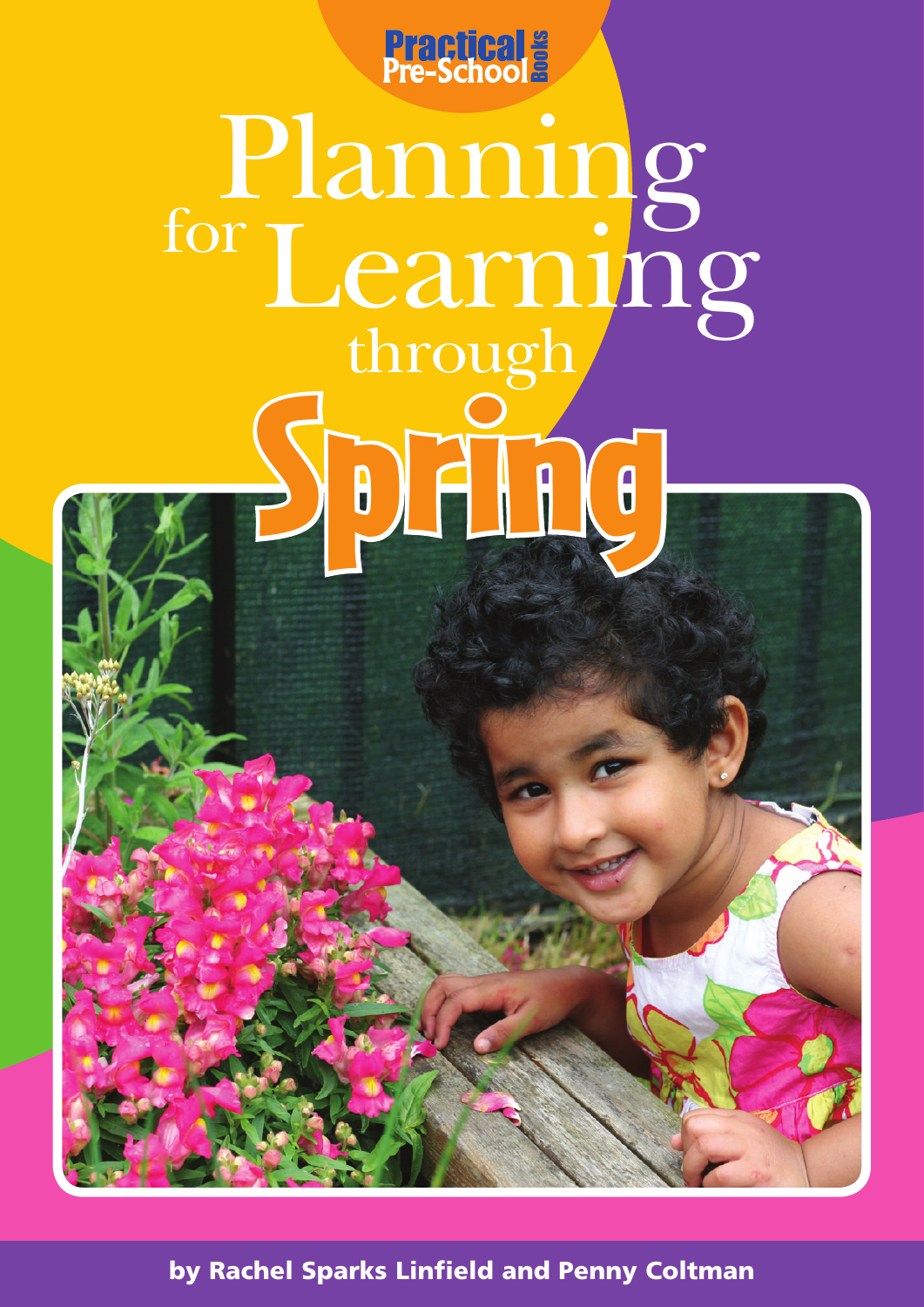**Practical** 

through<br>DELING Planning for Learning

by Rachel Sparks Linfield and Penny Coltman

forLearning through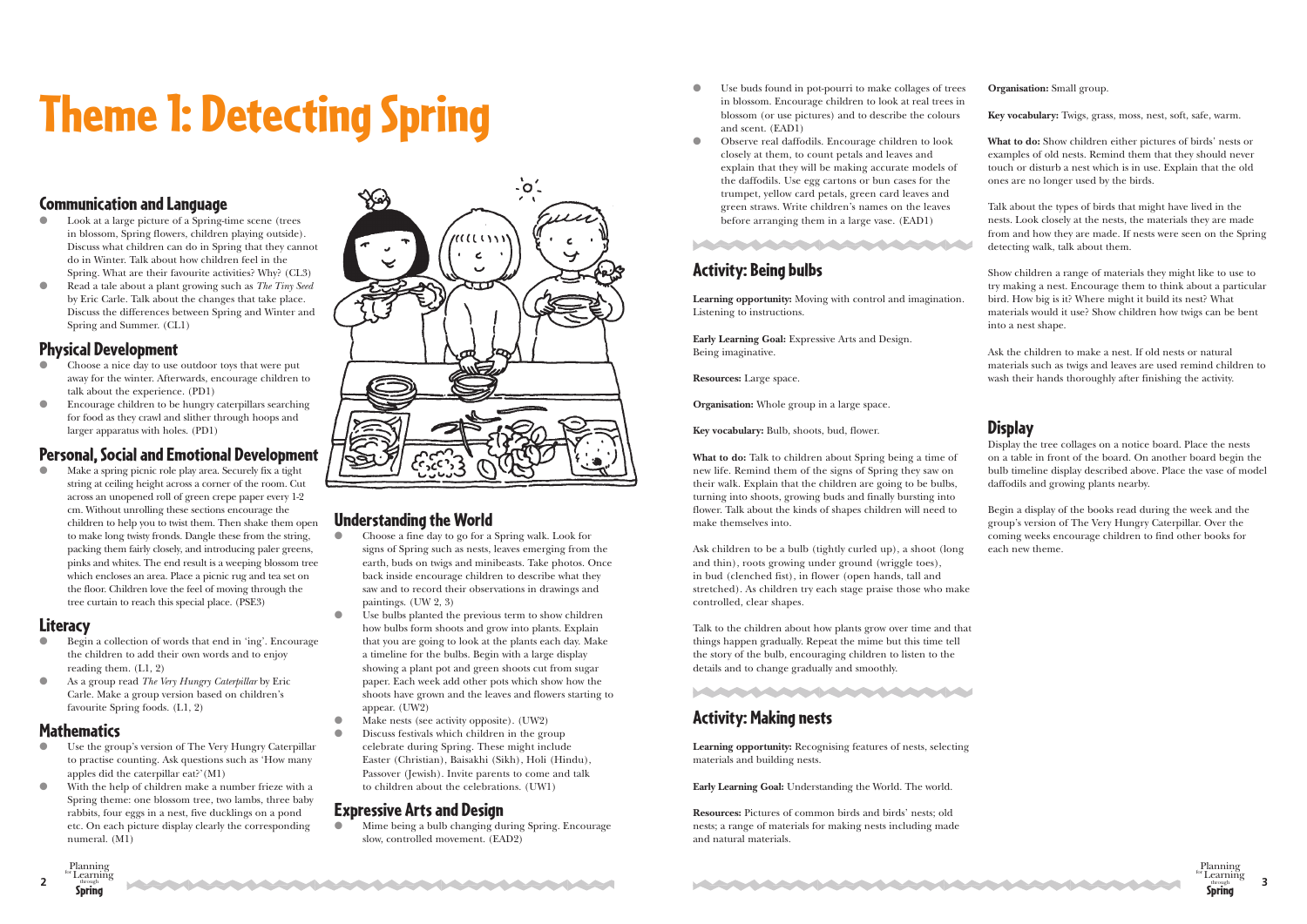



# Theme 1: Detecting Spring

## Communication and Language

- l Look at a large picture of a Spring-time scene (trees in blossom, Spring flowers, children playing outside). Discuss what children can do in Spring that they cannot do in Winter. Talk about how children feel in the Spring. What are their favourite activities? Why? (CL3)
- **l** Read a tale about a plant growing such as *The Tiny Seed* by Eric Carle. Talk about the changes that take place. Discuss the differences between Spring and Winter and Spring and Summer. (CL1)

# **Physical Development**

- l Choose a nice day to use outdoor toys that were put away for the winter. Afterwards, encourage children to talk about the experience. (PD1)
- **Encourage children to be hungry caterpillars searching** for food as they crawl and slither through hoops and larger apparatus with holes. (PD1)

**Make a spring picnic role play area. Securely fix a tight** string at ceiling height across a corner of the room. Cut across an unopened roll of green crepe paper every 1-2 cm. Without unrolling these sections encourage the children to help you to twist them. Then shake them open to make long twisty fronds. Dangle these from the string, packing them fairly closely, and introducing paler greens, pinks and whites. The end result is a weeping blossom tree which encloses an area. Place a picnic rug and tea set on the floor. Children love the feel of moving through the tree curtain to reach this special place. (PSE3)

## **Literacy**

## Personal, Social and Emotional Development

- **l** Use the group's version of The Very Hungry Caterpillar to practise counting. Ask questions such as 'How many apples did the caterpillar eat?'(M1)
- $\bullet$  With the help of children make a number frieze with a Spring theme: one blossom tree, two lambs, three baby rabbits, four eggs in a nest, five ducklings on a pond etc. On each picture display clearly the corresponding numeral. (M1)



 $\bullet$  Mime being a bulb changing during Spring. Encourage slow, controlled movement. (EAD2)

- l Begin a collection of words that end in 'ing'. Encourage the children to add their own words and to enjoy reading them. (L1, 2)
- l As a group read *The Very Hungry Caterpillar* by Eric Carle. Make a group version based on children's favourite Spring foods. (L1, 2)

## **Mathematics**

## Understanding the World

- l Choose a fine day to go for a Spring walk. Look for signs of Spring such as nests, leaves emerging from the earth, buds on twigs and minibeasts. Take photos. Once back inside encourage children to describe what they saw and to record their observations in drawings and paintings. (UW 2, 3)
- $\bullet$  Use bulbs planted the previous term to show children how bulbs form shoots and grow into plants. Explain that you are going to look at the plants each day. Make a timeline for the bulbs. Begin with a large display showing a plant pot and green shoots cut from sugar paper. Each week add other pots which show how the shoots have grown and the leaves and flowers starting to appear. (UW2)
- $\bullet$  Make nests (see activity opposite). (UW2)
- $\bullet$  Discuss festivals which children in the group celebrate during Spring. These might include Easter (Christian), Baisakhi (Sikh), Holi (Hindu), Passover (Jewish). Invite parents to come and talk to children about the celebrations. (UW1)

## Expressive Arts and Design

- l Use buds found in pot-pourri to make collages of trees in blossom. Encourage children to look at real trees in blossom (or use pictures) and to describe the colours and scent. (EAD1)
- **C** Observe real daffodils. Encourage children to look closely at them, to count petals and leaves and explain that they will be making accurate models of the daffodils. Use egg cartons or bun cases for the trumpet, yellow card petals, green card leaves and green straws. Write children's names on the leaves before arranging them in a large vase. (EAD1)

# Activity: Being bulbs

**Learning opportunity:** Moving with control and imagination. Listening to instructions.

**..........................** 

**Early Learning Goal:** Expressive Arts and Design. Being imaginative.

**Resources:** Large space.

**Organisation:** Whole group in a large space.

**Key vocabulary:** Bulb, shoots, bud, flower.

**What to do:** Talk to children about Spring being a time of new life. Remind them of the signs of Spring they saw on their walk. Explain that the children are going to be bulbs, turning into shoots, growing buds and finally bursting into flower. Talk about the kinds of shapes children will need to make themselves into.

Ask children to be a bulb (tightly curled up), a shoot (long and thin), roots growing under ground (wriggle toes), in bud (clenched fist), in flower (open hands, tall and stretched). As children try each stage praise those who make controlled, clear shapes.

Talk to the children about how plants grow over time and that things happen gradually. Repeat the mime but this time tell the story of the bulb, encouraging children to listen to the details and to change gradually and smoothly.

**......................** 

# Activity: Making nests

**Learning opportunity:** Recognising features of nests, selecting materials and building nests.

**Early Learning Goal:** Understanding the World. The world.

**Resources:** Pictures of common birds and birds' nests; old nests; a range of materials for making nests including made and natural materials.

**Organisation:** Small group.

**Key vocabulary:** Twigs, grass, moss, nest, soft, safe, warm.

**What to do:** Show children either pictures of birds' nests or examples of old nests. Remind them that they should never touch or disturb a nest which is in use. Explain that the old ones are no longer used by the birds.

Talk about the types of birds that might have lived in the nests. Look closely at the nests, the materials they are made from and how they are made. If nests were seen on the Spring detecting walk, talk about them.

Show children a range of materials they might like to use to try making a nest. Encourage them to think about a particular bird. How big is it? Where might it build its nest? What materials would it use? Show children how twigs can be bent into a nest shape.

Ask the children to make a nest. If old nests or natural materials such as twigs and leaves are used remind children to wash their hands thoroughly after finishing the activity.

## **Display**

Display the tree collages on a notice board. Place the nests on a table in front of the board. On another board begin the bulb timeline display described above. Place the vase of model daffodils and growing plants nearby.

Begin a display of the books read during the week and the group's version of The Very Hungry Caterpillar. Over the coming weeks encourage children to find other books for each new theme.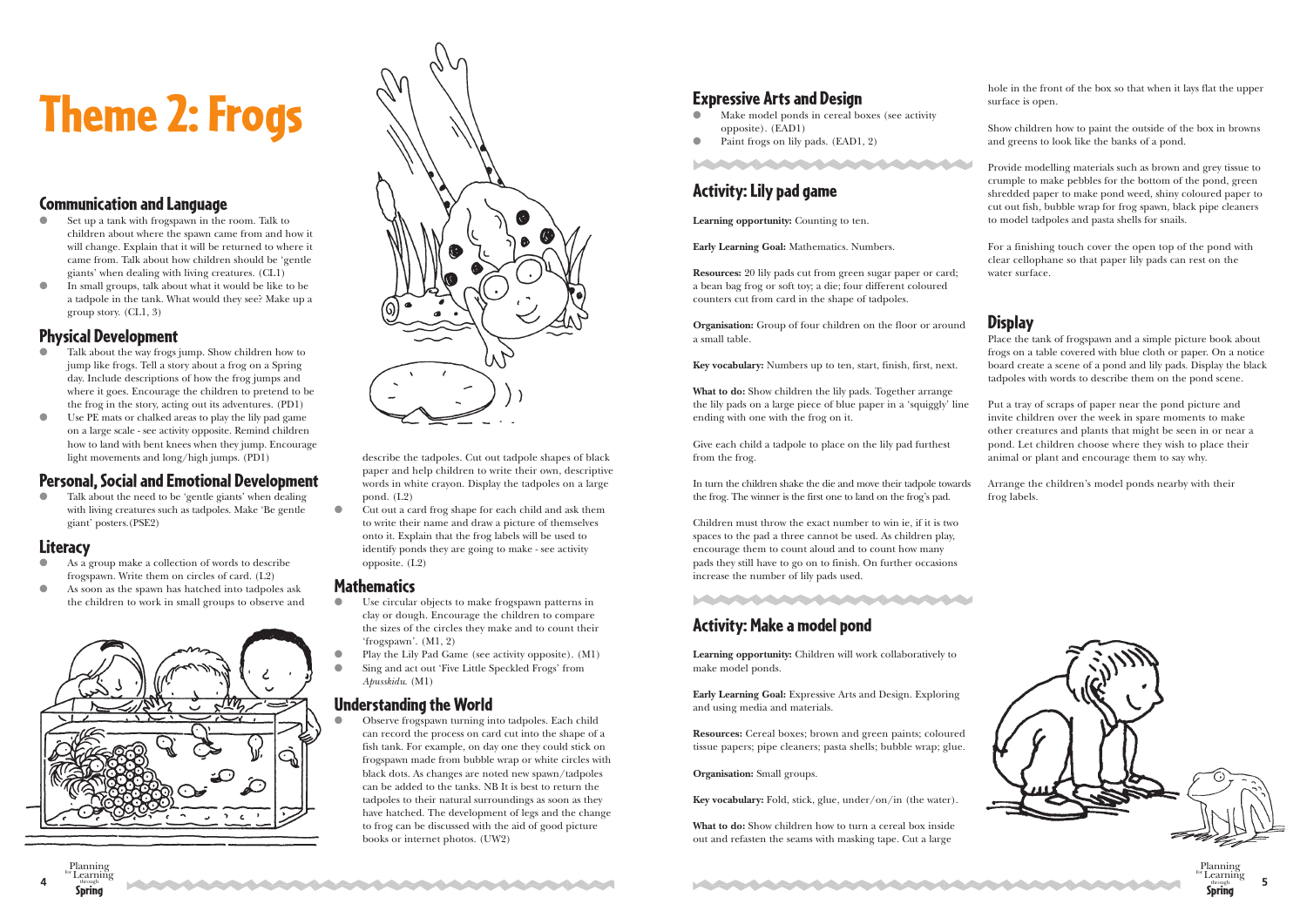

# Theme 2: Frogs

## Communication and Language

- $\bullet$  Set up a tank with frogspawn in the room. Talk to children about where the spawn came from and how it will change. Explain that it will be returned to where it came from. Talk about how children should be 'gentle giants' when dealing with living creatures. (CL1)
- $\blacksquare$  In small groups, talk about what it would be like to be a tadpole in the tank. What would they see? Make up a group story. (CL1, 3)

- **l** Talk about the way frogs jump. Show children how to jump like frogs. Tell a story about a frog on a Spring day. Include descriptions of how the frog jumps and where it goes. Encourage the children to pretend to be the frog in the story, acting out its adventures. (PD1)
- l Use PE mats or chalked areas to play the lily pad game on a large scale - see activity opposite. Remind children how to land with bent knees when they jump. Encourage light movements and long/high jumps. (PD1)

# **Personal, Social and Emotional Development**

## Physical Development

Talk about the need to be 'gentle giants' when dealing with living creatures such as tadpoles. Make 'Be gentle giant' posters.(PSE2)

# Literacy

- l As a group make a collection of words to describe frogspawn. Write them on circles of card. (L2)
- **l** As soon as the spawn has hatched into tadpoles ask the children to work in small groups to observe and





Observe frogspawn turning into tadpoles. Each child can record the process on card cut into the shape of a fish tank. For example, on day one they could stick on frogspawn made from bubble wrap or white circles with black dots. As changes are noted new spawn/tadpoles can be added to the tanks. NB It is best to return the tadpoles to their natural surroundings as soon as they have hatched. The development of legs and the change to frog can be discussed with the aid of good picture books or internet photos. (UW2)

Make model ponds in cereal boxes (see activity opposite). (EAD1)

**14444444444444444444** 

Paint frogs on lily pads.  $($ EAD1, 2 $)$ 

describe the tadpoles. Cut out tadpole shapes of black paper and help children to write their own, descriptive words in white crayon. Display the tadpoles on a large pond. (L2)

l Cut out a card frog shape for each child and ask them to write their name and draw a picture of themselves onto it. Explain that the frog labels will be used to identify ponds they are going to make - see activity opposite. (L2)

## **Mathematics**

- l Use circular objects to make frogspawn patterns in clay or dough. Encourage the children to compare the sizes of the circles they make and to count their 'frogspawn'. (M1, 2)
- **If** Play the Lily Pad Game (see activity opposite). (M1)
- **Calcularies** Sing and act out 'Five Little Speckled Frogs' from *Apusskidu*. (M1)

## Understanding the World

## Expressive Arts and Design

## Activity: Lily pad game

#### **Learning opportunity:** Counting to ten.

**Early Learning Goal:** Mathematics. Numbers.

**Resources:** 20 lily pads cut from green sugar paper or card; a bean bag frog or soft toy; a die; four different coloured counters cut from card in the shape of tadpoles.

**Organisation:** Group of four children on the floor or around a small table.

**Key vocabulary:** Numbers up to ten, start, finish, first, next.

**What to do:** Show children the lily pads. Together arrange the lily pads on a large piece of blue paper in a 'squiggly' line ending with one with the frog on it.

Give each child a tadpole to place on the lily pad furthest from the frog.

Children must throw the exact number to win ie, if it is two spaces to the pad a three cannot be used. As children play, encourage them to count aloud and to count how many pads they still have to go on to finish. On further occasions increase the number of lily pads used.

**144444444444444444** 

# Activity: Make a model pond

**Learning opportunity:** Children will work collaboratively to make model ponds.

**Early Learning Goal:** Expressive Arts and Design. Exploring and using media and materials.

**Resources:** Cereal boxes; brown and green paints; coloured tissue papers; pipe cleaners; pasta shells; bubble wrap; glue.

**Organisation:** Small groups.

**Key vocabulary:** Fold, stick, glue, under/on/in (the water).

**What to do:** Show children how to turn a cereal box inside out and refasten the seams with masking tape. Cut a large

hole in the front of the box so that when it lays flat the upper surface is open.

In turn the children shake the die and move their tadpole towards the frog. The winner is the first one to land on the frog's pad. Arrange the children's model ponds nearby with their frog labels.

Show children how to paint the outside of the box in browns and greens to look like the banks of a pond.

Provide modelling materials such as brown and grey tissue to crumple to make pebbles for the bottom of the pond, green shredded paper to make pond weed, shiny coloured paper to cut out fish, bubble wrap for frog spawn, black pipe cleaners to model tadpoles and pasta shells for snails.

For a finishing touch cover the open top of the pond with clear cellophane so that paper lily pads can rest on the water surface.

## **Display**

Place the tank of frogspawn and a simple picture book about frogs on a table covered with blue cloth or paper. On a notice board create a scene of a pond and lily pads. Display the black tadpoles with words to describe them on the pond scene.

Put a tray of scraps of paper near the pond picture and invite children over the week in spare moments to make other creatures and plants that might be seen in or near a pond. Let children choose where they wish to place their animal or plant and encourage them to say why.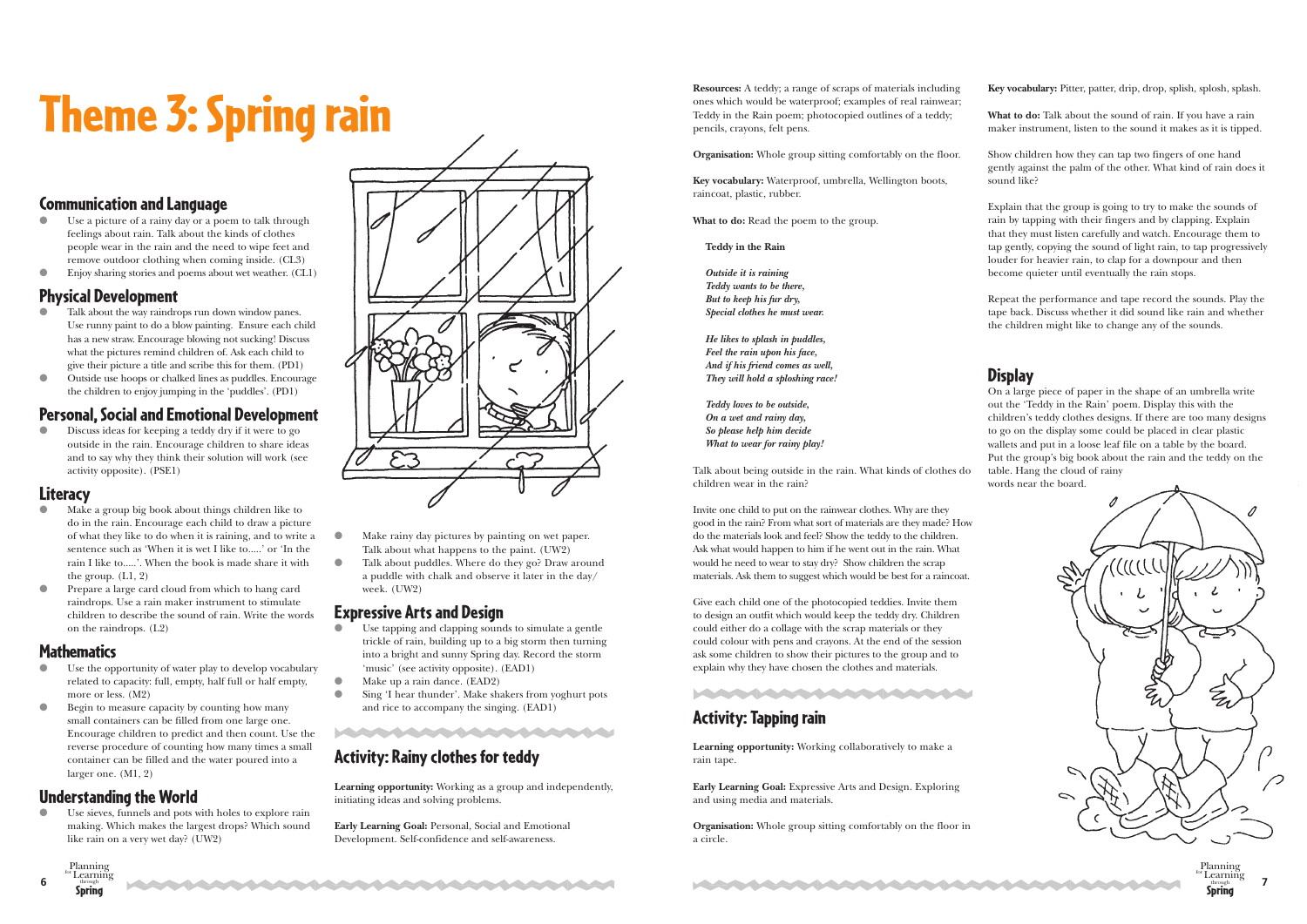

**Spring** 

**6 7** Planning Learning Spring

**Resources:** A teddy; a range of scraps of materials including ones which would be waterproof; examples of real rainwear; Teddy in the Rain poem; photocopied outlines of a teddy; pencils, crayons, felt pens.

**Organisation:** Whole group sitting comfortably on the floor.

**Key vocabulary:** Waterproof, umbrella, Wellington boots, raincoat, plastic, rubber.

**What to do:** Read the poem to the group.

**Teddy in the Rain**

*Outside it is raining Teddy wants to be there, But to keep his fur dry, Special clothes he must wear.*

*He likes to splash in puddles, Feel the rain upon his face, And if his friend comes as well, They will hold a sploshing race!*

*Teddy loves to be outside, On a wet and rainy day, So please help him decide What to wear for rainy play!*

Talk about being outside in the rain. What kinds of clothes do children wear in the rain?

Invite one child to put on the rainwear clothes. Why are they good in the rain? From what sort of materials are they made? How do the materials look and feel? Show the teddy to the children. Ask what would happen to him if he went out in the rain. What would he need to wear to stay dry? Show children the scrap materials. Ask them to suggest which would be best for a raincoat.

Give each child one of the photocopied teddies. Invite them to design an outfit which would keep the teddy dry. Children could either do a collage with the scrap materials or they could colour with pens and crayons. At the end of the session ask some children to show their pictures to the group and to explain why they have chosen the clothes and materials.

**........................** 

## Activity: Tapping rain

**Learning opportunity:** Working collaboratively to make a rain tape.

**Early Learning Goal:** Expressive Arts and Design. Exploring and using media and materials.

**Organisation:** Whole group sitting comfortably on the floor in a circle.

**Key vocabulary:** Pitter, patter, drip, drop, splish, splosh, splash.

- Talk about the way raindrops run down window panes. Use runny paint to do a blow painting. Ensure each child has a new straw. Encourage blowing not sucking! Discuss what the pictures remind children of. Ask each child to give their picture a title and scribe this for them. (PD1)
- **l** Outside use hoops or chalked lines as puddles. Encourage the children to enjoy jumping in the 'puddles'. (PD1)

**What to do:** Talk about the sound of rain. If you have a rain maker instrument, listen to the sound it makes as it is tipped.

 $\bullet$  Discuss ideas for keeping a teddy dry if it were to go outside in the rain. Encourage children to share ideas and to say why they think their solution will work (see activity opposite). (PSE1)

# Literacy

Show children how they can tap two fingers of one hand gently against the palm of the other. What kind of rain does it sound like?

- Make a group big book about things children like to do in the rain. Encourage each child to draw a picture of what they like to do when it is raining, and to write a sentence such as 'When it is wet I like to.....' or 'In the rain I like to.....'. When the book is made share it with the group. (L1, 2)
- **lacks** Prepare a large card cloud from which to hang card raindrops. Use a rain maker instrument to stimulate children to describe the sound of rain. Write the words on the raindrops. (L2)

#### **Mathematics**

Explain that the group is going to try to make the sounds of rain by tapping with their fingers and by clapping. Explain that they must listen carefully and watch. Encourage them to tap gently, copying the sound of light rain, to tap progressively louder for heavier rain, to clap for a downpour and then become quieter until eventually the rain stops.

- Use the opportunity of water play to develop vocabulary related to capacity: full, empty, half full or half empty, more or less.  $(M2)$
- **e** Begin to measure capacity by counting how many small containers can be filled from one large one. Encourage children to predict and then count. Use the reverse procedure of counting how many times a small container can be filled and the water poured into a larger one. (M1, 2)

Use sieves, funnels and pots with holes to explore rain making. Which makes the largest drops? Which sound like rain on a very wet day? (UW2)



Repeat the performance and tape record the sounds. Play the tape back. Discuss whether it did sound like rain and whether the children might like to change any of the sounds.

## **Display**

- Make rainy day pictures by painting on wet paper. Talk about what happens to the paint. (UW2)
- **lack about puddles.** Where do they go? Draw around a puddle with chalk and observe it later in the day/ week. (UW2)

- $\bullet$  Use tapping and clapping sounds to simulate a gentle trickle of rain, building up to a big storm then turning into a bright and sunny Spring day. Record the storm 'music' (see activity opposite). (EAD1)
- Make up a rain dance. (EAD2)
- l Sing 'I hear thunder'. Make shakers from yoghurt pots and rice to accompany the singing. (EAD1)

**1444444444444444444** 

On a large piece of paper in the shape of an umbrella write out the 'Teddy in the Rain' poem. Display this with the children's teddy clothes designs. If there are too many designs to go on the display some could be placed in clear plastic wallets and put in a loose leaf file on a table by the board. Put the group's big book about the rain and the teddy on the table. Hang the cloud of rainy



# Theme 3: Spring rain

### Communication and Language

- $\bullet$  Use a picture of a rainy day or a poem to talk through feelings about rain. Talk about the kinds of clothes people wear in the rain and the need to wipe feet and remove outdoor clothing when coming inside. (CL3)
- **lacks** Enjoy sharing stories and poems about wet weather. (CL1)

# **Physical Development**

#### Personal, Social and Emotional Development

## Understanding the World

#### Expressive Arts and Design

## Activity: Rainy clothes for teddy

**Learning opportunity:** Working as a group and independently, initiating ideas and solving problems.

**Early Learning Goal:** Personal, Social and Emotional Development. Self-confidence and self-awareness.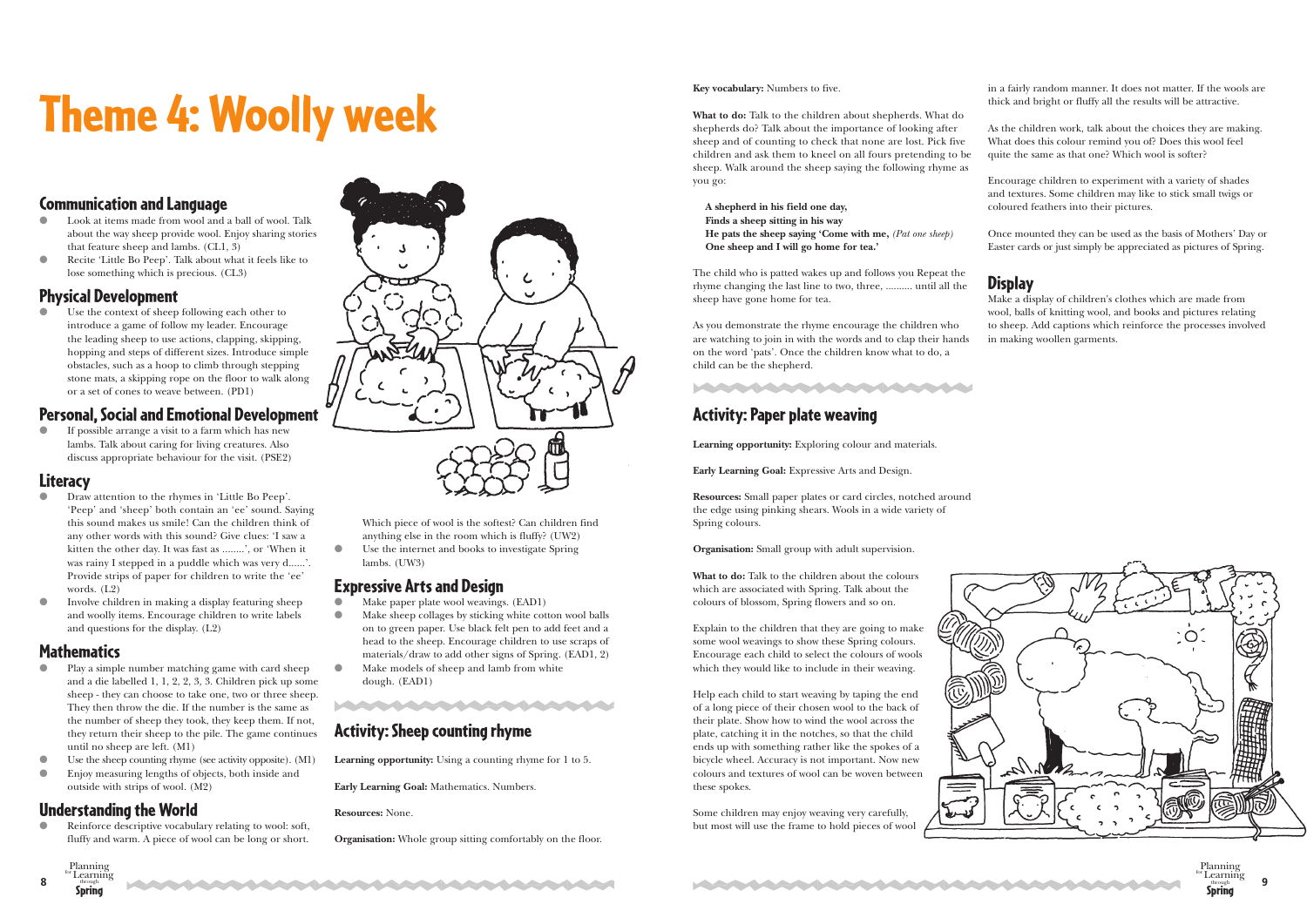



Planning Learning Spring

#### **Key vocabulary:** Numbers to five.

**What to do:** Talk to the children about shepherds. What do shepherds do? Talk about the importance of looking after sheep and of counting to check that none are lost. Pick five children and ask them to kneel on all fours pretending to be sheep. Walk around the sheep saying the following rhyme as you go:

**A shepherd in his field one day, Finds a sheep sitting in his way He pats the sheep saying 'Come with me,** *(Pat one sheep)* **One sheep and I will go home for tea.'**

The child who is patted wakes up and follows you Repeat the rhyme changing the last line to two, three, .......... until all the sheep have gone home for tea.

As you demonstrate the rhyme encourage the children who are watching to join in with the words and to clap their hands on the word 'pats'. Once the children know what to do, a child can be the shepherd.

# Activity: Paper plate weaving

**Learning opportunity:** Exploring colour and materials.

**Early Learning Goal:** Expressive Arts and Design.

As the children work, talk about the choices they are making. What does this colour remind you of? Does this wool feel quite the same as that one? Which wool is softer?

**Resources:** Small paper plates or card circles, notched around the edge using pinking shears. Wools in a wide variety of Spring colours.

**Organisation:** Small group with adult supervision.

**What to do:** Talk to the children about the colours which are associated with Spring. Talk about the colours of blossom, Spring flowers and so on.

Explain to the children that they are going to make some wool weavings to show these Spring colours. Encourage each child to select the colours of wools which they would like to include in their weaving.

- **l** Look at items made from wool and a ball of wool. Talk about the way sheep provide wool. Enjoy sharing stories that feature sheep and lambs. (CL1, 3)
- **Recite 'Little Bo Peep'. Talk about what it feels like to** lose something which is precious. (CL3)

# **Physical Development**

Use the context of sheep following each other to introduce a game of follow my leader. Encourage the leading sheep to use actions, clapping, skipping, hopping and steps of different sizes. Introduce simple obstacles, such as a hoop to climb through stepping stone mats, a skipping rope on the floor to walk along or a set of cones to weave between. (PD1)

> Help each child to start weaving by taping the end of a long piece of their chosen wool to the back of their plate. Show how to wind the wool across the plate, catching it in the notches, so that the child ends up with something rather like the spokes of a bicycle wheel. Accuracy is not important. Now new colours and textures of wool can be woven between these spokes.

 $\bullet$  If possible arrange a visit to a farm which has new lambs. Talk about caring for living creatures. Also discuss appropriate behaviour for the visit. (PSE2)

# Literacy

Some children may enjoy weaving very carefully, but most will use the frame to hold pieces of wool



in a fairly random manner. It does not matter. If the wools are thick and bright or fluffy all the results will be attractive.

- Draw attention to the rhymes in 'Little Bo Peep'. 'Peep' and 'sheep' both contain an 'ee' sound. Saying this sound makes us smile! Can the children think of any other words with this sound? Give clues: 'I saw a kitten the other day. It was fast as ........', or 'When it was rainy I stepped in a puddle which was very d......'. Provide strips of paper for children to write the 'ee' words. (L2)
- $\bullet$  Involve children in making a display featuring sheep and woolly items. Encourage children to write labels and questions for the display. (L2)

## **Mathematics**

Encourage children to experiment with a variety of shades and textures. Some children may like to stick small twigs or coloured feathers into their pictures.

Reinforce descriptive vocabulary relating to wool: soft, fluffy and warm. A piece of wool can be long or short.



**lacks** Use the internet and books to investigate Spring lambs. (UW3)

Once mounted they can be used as the basis of Mothers' Day or Easter cards or just simply be appreciated as pictures of Spring.

# **Display**

- Make paper plate wool weavings. (EAD1)
- $\bullet$  Make sheep collages by sticking white cotton wool balls on to green paper. Use black felt pen to add feet and a head to the sheep. Encourage children to use scraps of materials/draw to add other signs of Spring. (EAD1, 2)

 $\bullet$  Make models of sheep and lamb from white dough. (EAD1)

Make a display of children's clothes which are made from wool, balls of knitting wool, and books and pictures relating to sheep. Add captions which reinforce the processes involved in making woollen garments.

# Theme 4: Woolly week

### Communication and Language

## Personal, Social and Emotional Development

- l Play a simple number matching game with card sheep and a die labelled 1, 1, 2, 2, 3, 3. Children pick up some sheep - they can choose to take one, two or three sheep. They then throw the die. If the number is the same as the number of sheep they took, they keep them. If not, they return their sheep to the pile. The game continues until no sheep are left. (M1)
- $\bullet$  Use the sheep counting rhyme (see activity opposite). (M1)
- l Enjoy measuring lengths of objects, both inside and outside with strips of wool. (M2)

## Understanding the World

Which piece of wool is the softest? Can children find anything else in the room which is fluffy? (UW2)

## Expressive Arts and Design

# Activity: Sheep counting rhyme

**Learning opportunity:** Using a counting rhyme for 1 to 5.

**Early Learning Goal:** Mathematics. Numbers.

**Resources:** None.

**Organisation:** Whole group sitting comfortably on the floor.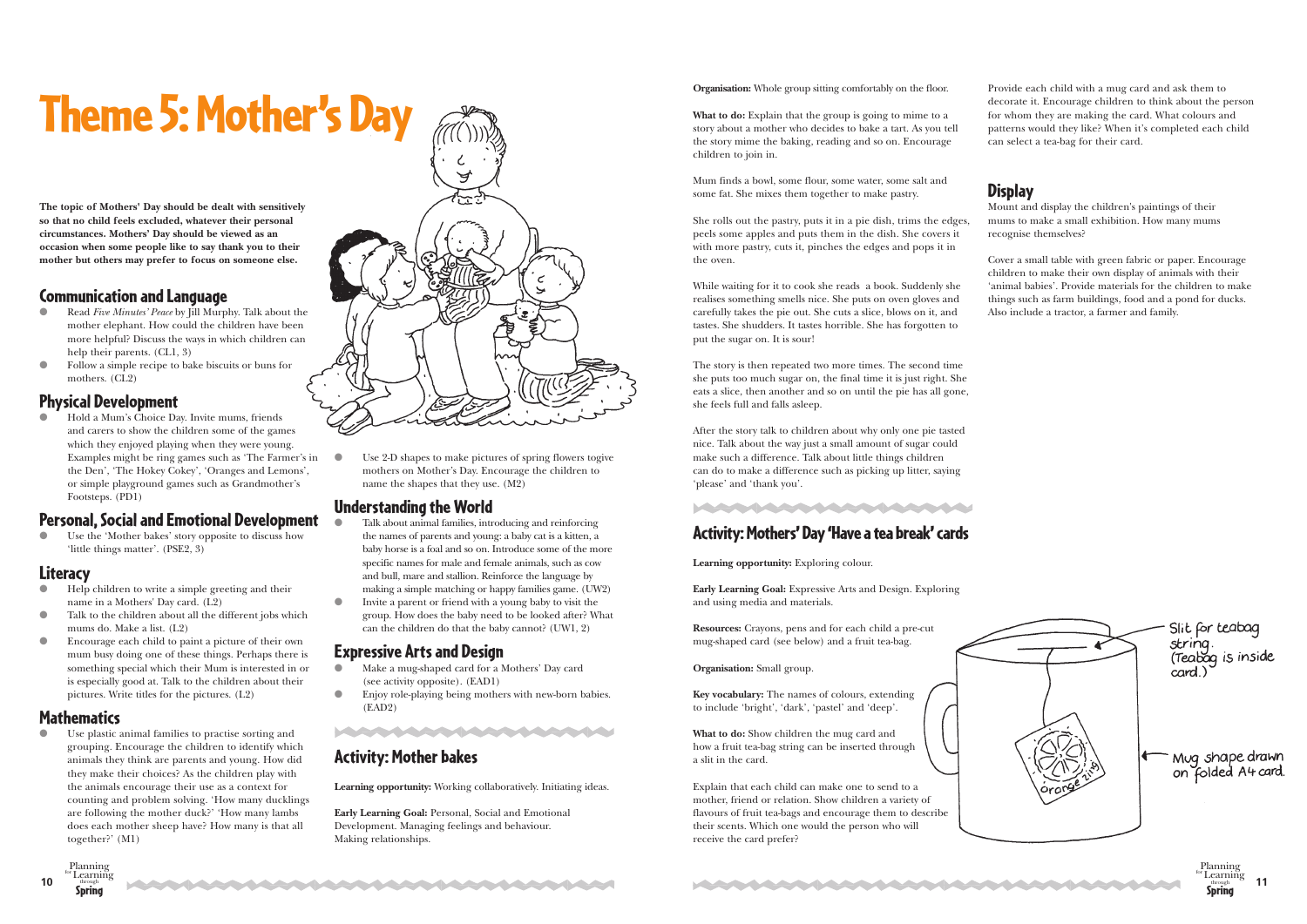



#### **Organisation:** Whole group sitting comfortably on the floor.

What to do: Explain that the group is going to mime to a story about a mother who decides to bake a tart. As you tell the story mime the baking, reading and so on. Encourage children to join in.

Mum finds a bowl, some flour, some water, some salt and some fat. She mixes them together to make pastry.

She rolls out the pastry, puts it in a pie dish, trims the edges, peels some apples and puts them in the dish. She covers it with more pastry, cuts it, pinches the edges and pops it in the oven.

While waiting for it to cook she reads a book. Suddenly she realises something smells nice. She puts on oven gloves and carefully takes the pie out. She cuts a slice, blows on it, and tastes. She shudders. It tastes horrible. She has forgotten to put the sugar on. It is sour!

The story is then repeated two more times. The second time she puts too much sugar on, the final time it is just right. She eats a slice, then another and so on until the pie has all gone, she feels full and falls asleep.

After the story talk to children about why only one pie tasted nice. Talk about the way just a small amount of sugar could make such a difference. Talk about little things children can do to make a difference such as picking up litter, saying 'please' and 'thank you'.



- **Read Five Minutes' Peace by Jill Murphy. Talk about the** mother elephant. How could the children have been more helpful? Discuss the ways in which children can help their parents. (CL1, 3)
- **lacks** Follow a simple recipe to bake biscuits or buns for mothers. (CL2)

# Activity: Mothers' Day 'Have a tea break' cards

**Learning opportunity:** Exploring colour.

**Early Learning Goal:** Expressive Arts and Design. Exploring and using media and materials.

Use the 'Mother bakes' story opposite to discuss how 'little things matter'. (PSE2, 3)

## **Literacy**

**Resources:** Crayons, pens and for each child a pre-cut mug-shaped card (see below) and a fruit tea-bag.

**Organisation:** Small group.

**Key vocabulary:** The names of colours, extending to include 'bright', 'dark', 'pastel' and 'deep'.

- $\bullet$  Help children to write a simple greeting and their name in a Mothers' Day card. (L2)
- $\bullet$  Talk to the children about all the different jobs which mums do. Make a list. (L2)
- **Encourage each child to paint a picture of their own** mum busy doing one of these things. Perhaps there is something special which their Mum is interested in or is especially good at. Talk to the children about their pictures. Write titles for the pictures. (L2)

## **Mathematics**

**What to do:** Show children the mug card and how a fruit tea-bag string can be inserted through a slit in the card.

Explain that each child can make one to send to a mother, friend or relation. Show children a variety of flavours of fruit tea-bags and encourage them to describe their scents. Which one would the person who will receive the card prefer?

 $\bullet$  Use plastic animal families to practise sorting and grouping. Encourage the children to identify which animals they think are parents and young. How did they make their choices? As the children play with the animals encourage their use as a context for counting and problem solving. 'How many ducklings are following the mother duck?' 'How many lambs does each mother sheep have? How many is that all together?' (M1)

- $\epsilon$
- $\bullet$  Use 2-D shapes to make pictures of spring flowers togive mothers on Mother's Day. Encourage the children to name the shapes that they use. (M2)

# Theme 5: Mother's Day

**The topic of Mothers' Day should be dealt with sensitively so that no child feels excluded, whatever their personal circumstances. Mothers' Day should be viewed as an occasion when some people like to say thank you to their mother but others may prefer to focus on someone else.** 

- Talk about animal families, introducing and reinforcing the names of parents and young: a baby cat is a kitten, a baby horse is a foal and so on. Introduce some of the more specific names for male and female animals, such as cow and bull, mare and stallion. Reinforce the language by making a simple matching or happy families game. (UW2)
- l Invite a parent or friend with a young baby to visit the group. How does the baby need to be looked after? What can the children do that the baby cannot? (UW1, 2)

#### Communication and Language

## Physical Development

l Hold a Mum's Choice Day. Invite mums, friends and carers to show the children some of the games which they enjoyed playing when they were young. Examples might be ring games such as 'The Farmer's in the Den', 'The Hokey Cokey', 'Oranges and Lemons', or simple playground games such as Grandmother's Footsteps. (PD1)

# **Personal, Social and Emotional Development**

## Understanding the World

## Expressive Arts and Design

- **I** Make a mug-shaped card for a Mothers' Day card (see activity opposite). (EAD1)
- l Enjoy role-playing being mothers with new-born babies.  $(FAD2)$

**14444444444444444444** 

# Activity: Mother bakes

**Learning opportunity:** Working collaboratively. Initiating ideas.

**Early Learning Goal:** Personal, Social and Emotional Development. Managing feelings and behaviour. Making relationships.

Provide each child with a mug card and ask them to decorate it. Encourage children to think about the person for whom they are making the card. What colours and patterns would they like? When it's completed each child can select a tea-bag for their card.

# **Display**

Mount and display the children's paintings of their mums to make a small exhibition. How many mums recognise themselves?

Cover a small table with green fabric or paper. Encourage children to make their own display of animals with their 'animal babies'. Provide materials for the children to make things such as farm buildings, food and a pond for ducks. Also include a tractor, a farmer and family.